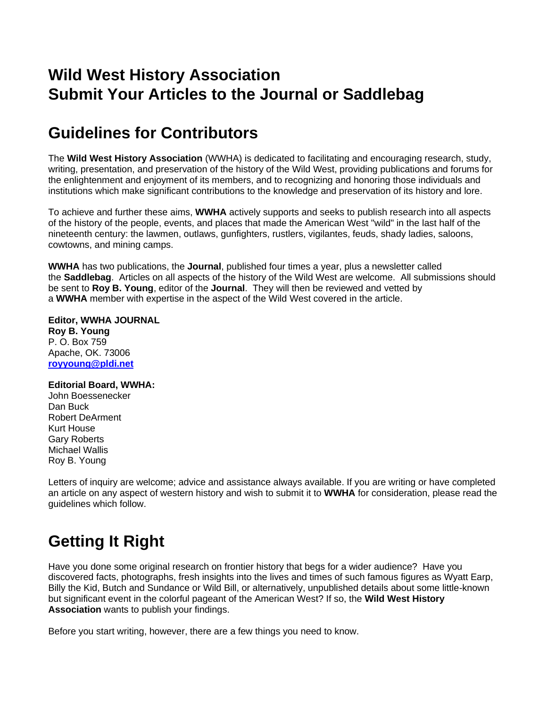## **Wild West History Association Submit Your Articles to the Journal or Saddlebag**

## **Guidelines for Contributors**

The **Wild West History Association** (WWHA) is dedicated to facilitating and encouraging research, study, writing, presentation, and preservation of the history of the Wild West, providing publications and forums for the enlightenment and enjoyment of its members, and to recognizing and honoring those individuals and institutions which make significant contributions to the knowledge and preservation of its history and lore.

To achieve and further these aims, **WWHA** actively supports and seeks to publish research into all aspects of the history of the people, events, and places that made the American West "wild" in the last half of the nineteenth century: the lawmen, outlaws, gunfighters, rustlers, vigilantes, feuds, shady ladies, saloons, cowtowns, and mining camps.

**WWHA** has two publications, the **Journal**, published four times a year, plus a newsletter called the **Saddlebag**. Articles on all aspects of the history of the Wild West are welcome. All submissions should be sent to **Roy B. Young**, editor of the **Journal**. They will then be reviewed and vetted by a **WWHA** member with expertise in the aspect of the Wild West covered in the article.

**Editor, WWHA JOURNAL Roy B. Young** P. O. Box 759 Apache, OK. 73006 **[royyoung@pldi.net](mailto:royyoung@pldi.net)**

## **Editorial Board, WWHA:**

John Boessenecker Dan Buck Robert DeArment Kurt House Gary Roberts Michael Wallis Roy B. Young

Letters of inquiry are welcome; advice and assistance always available. If you are writing or have completed an article on any aspect of western history and wish to submit it to **WWHA** for consideration, please read the guidelines which follow.

## **Getting It Right**

Have you done some original research on frontier history that begs for a wider audience? Have you discovered facts, photographs, fresh insights into the lives and times of such famous figures as Wyatt Earp, Billy the Kid, Butch and Sundance or Wild Bill, or alternatively, unpublished details about some little-known but significant event in the colorful pageant of the American West? If so, the **Wild West History Association** wants to publish your findings.

Before you start writing, however, there are a few things you need to know.